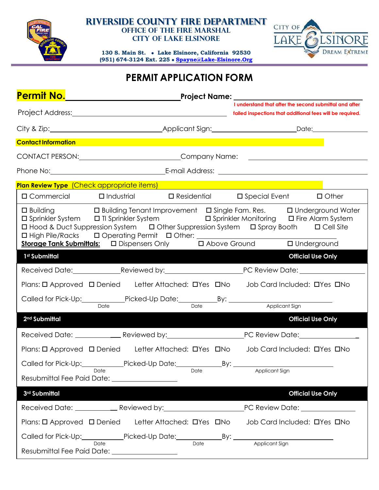

#### **Riverside County Fire Department Office of the Fire Marshal City of Lake Elsinore**

**130 S. Main St. Lake Elsinore, California 92530 (951) 674-3124 Ext. 225 [Spayne@Lake-Elsinore.Org](mailto:Spayne@Lake-Elsinore.Org)**



## **PERMIT APPLICATION FORM**

| Permit No. <u>____________________</u>                                                                                                                                                                                                                                                                                                                                          |                                                 |  |      |     | _Project Name: ______________________________ |                       |                                                                                                                     |
|---------------------------------------------------------------------------------------------------------------------------------------------------------------------------------------------------------------------------------------------------------------------------------------------------------------------------------------------------------------------------------|-------------------------------------------------|--|------|-----|-----------------------------------------------|-----------------------|---------------------------------------------------------------------------------------------------------------------|
|                                                                                                                                                                                                                                                                                                                                                                                 |                                                 |  |      |     |                                               |                       | I understand that after the second submittal and after<br>failed inspections that additional fees will be required. |
|                                                                                                                                                                                                                                                                                                                                                                                 |                                                 |  |      |     |                                               |                       |                                                                                                                     |
| <b>Contact Information</b>                                                                                                                                                                                                                                                                                                                                                      |                                                 |  |      |     |                                               |                       |                                                                                                                     |
|                                                                                                                                                                                                                                                                                                                                                                                 | CONTACT PERSON: CONTACT PERSON: CONTACT PERSON: |  |      |     |                                               |                       |                                                                                                                     |
|                                                                                                                                                                                                                                                                                                                                                                                 |                                                 |  |      |     |                                               |                       |                                                                                                                     |
| Plan Review Type (Check appropriate items)                                                                                                                                                                                                                                                                                                                                      |                                                 |  |      |     |                                               |                       |                                                                                                                     |
| $\square$ Commercial $\square$ Industrial                                                                                                                                                                                                                                                                                                                                       |                                                 |  |      |     | $\Box$ Residential $\Box$ Special Event       |                       | $\Box$ Other                                                                                                        |
| □ Building □ Building Tenant Improvement □ Single Fam. Res. □ Underground Water<br>$\square$ Sprinkler System $\square$ TI Sprinkler System<br>$\Box$ Sprinkler Monitoring $\Box$ Fire Alarm System<br>□ Hood & Duct Suppression System □ Other Suppression System □ Spray Booth □ Cell Site<br>□ High Pile/Racks □ Operating Permit □ Other: _________________________________ |                                                 |  |      |     |                                               |                       |                                                                                                                     |
| 1 <sup>st</sup> Submittal                                                                                                                                                                                                                                                                                                                                                       |                                                 |  |      |     |                                               |                       | <b>Official Use Only</b>                                                                                            |
|                                                                                                                                                                                                                                                                                                                                                                                 |                                                 |  |      |     |                                               |                       |                                                                                                                     |
| Plans: O Approved O Denied Letter Attached: O Yes ONo Job Card Included: O Yes ONo                                                                                                                                                                                                                                                                                              |                                                 |  |      |     |                                               |                       |                                                                                                                     |
| Called for Pick-Up: Picked-Up Date: By: By: Applicant Sign                                                                                                                                                                                                                                                                                                                      |                                                 |  |      |     |                                               |                       |                                                                                                                     |
| 2 <sup>nd</sup> Submittal                                                                                                                                                                                                                                                                                                                                                       |                                                 |  |      |     |                                               |                       | <b>Official Use Only</b>                                                                                            |
|                                                                                                                                                                                                                                                                                                                                                                                 |                                                 |  |      |     |                                               |                       |                                                                                                                     |
| Plans: O Approved O Denied Letter Attached: O Yes ONo Job Card Included: O Yes ONo                                                                                                                                                                                                                                                                                              |                                                 |  |      |     |                                               |                       |                                                                                                                     |
| Called for Pick-Up: Picked-Up Date: Called for Pick-Up:                                                                                                                                                                                                                                                                                                                         |                                                 |  |      | By: |                                               |                       |                                                                                                                     |
| Resubmittal Fee Paid Date: _____________________                                                                                                                                                                                                                                                                                                                                | Date                                            |  | Date |     | Applicant Sign                                |                       |                                                                                                                     |
| 3rd Submittal                                                                                                                                                                                                                                                                                                                                                                   |                                                 |  |      |     |                                               |                       | <b>Official Use Only</b>                                                                                            |
|                                                                                                                                                                                                                                                                                                                                                                                 |                                                 |  |      |     |                                               |                       |                                                                                                                     |
| Plans: O Approved O Denied Letter Attached: O'Yes ONo Job Card Included: O'Yes ONo                                                                                                                                                                                                                                                                                              |                                                 |  |      |     |                                               |                       |                                                                                                                     |
| Called for Pick-Up: Picked-Up Date: By: By: By: Apple By: Apple                                                                                                                                                                                                                                                                                                                 |                                                 |  |      |     |                                               | <b>Applicant Sign</b> |                                                                                                                     |
| Resubmittal Fee Paid Date: ___________________                                                                                                                                                                                                                                                                                                                                  |                                                 |  |      |     |                                               |                       |                                                                                                                     |